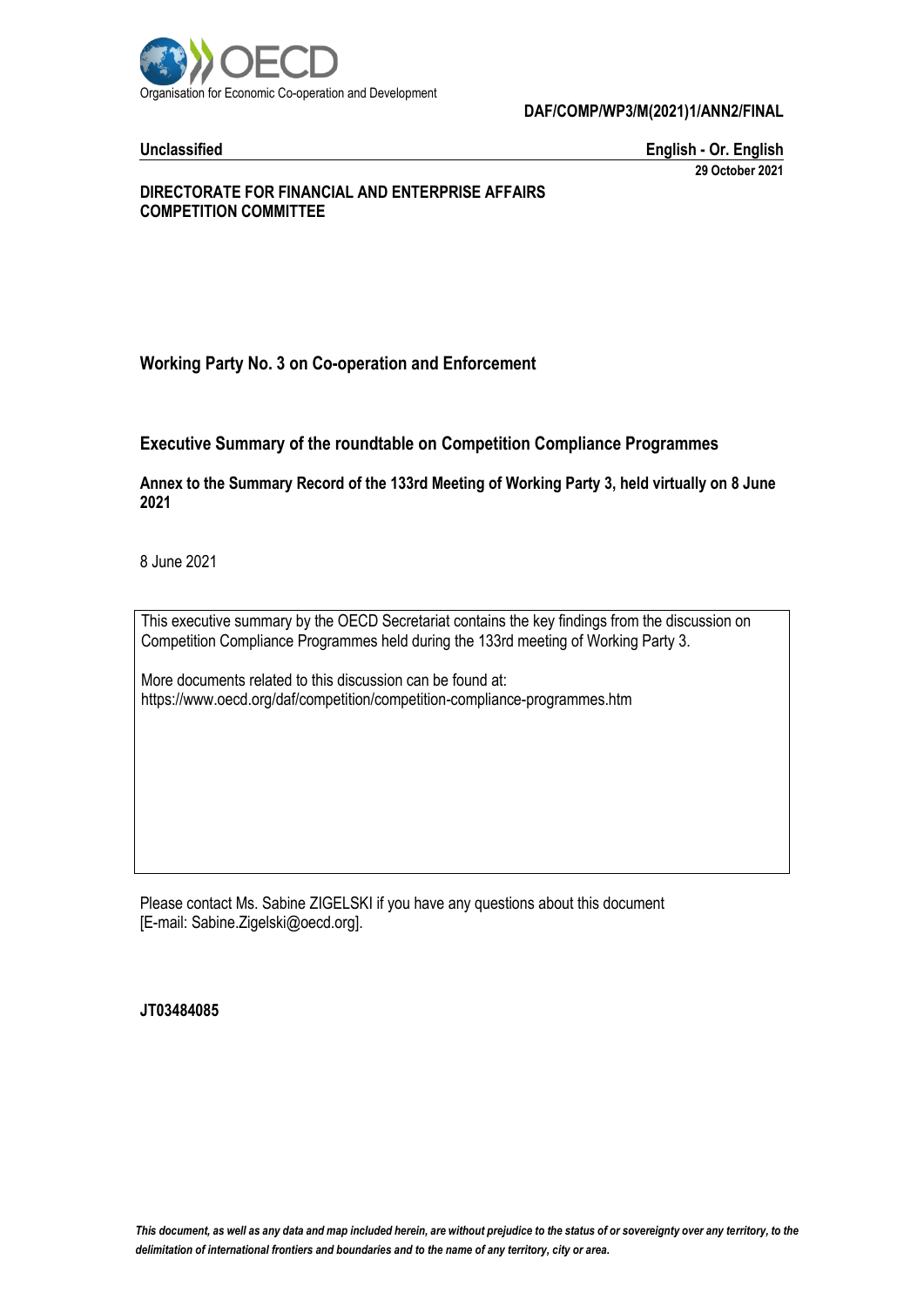

#### **DAF/COMP/WP3/M(2021)1/ANN2/FINAL**

**Unclassified English - Or. English 29 October 2021**

#### **DIRECTORATE FOR FINANCIAL AND ENTERPRISE AFFAIRS COMPETITION COMMITTEE**

**Working Party No. 3 on Co-operation and Enforcement**

**Executive Summary of the roundtable on Competition Compliance Programmes**

**Annex to the Summary Record of the 133rd Meeting of Working Party 3, held virtually on 8 June 2021**

8 June 2021

This executive summary by the OECD Secretariat contains the key findings from the discussion on Competition Compliance Programmes held during the 133rd meeting of Working Party 3.

More documents related to this discussion can be found at: https://www.oecd.org/daf/competition/competition-compliance-programmes.htm

Please contact Ms. Sabine ZIGELSKI if you have any questions about this document [E-mail: Sabine.Zigelski@oecd.org].

#### **JT03484085**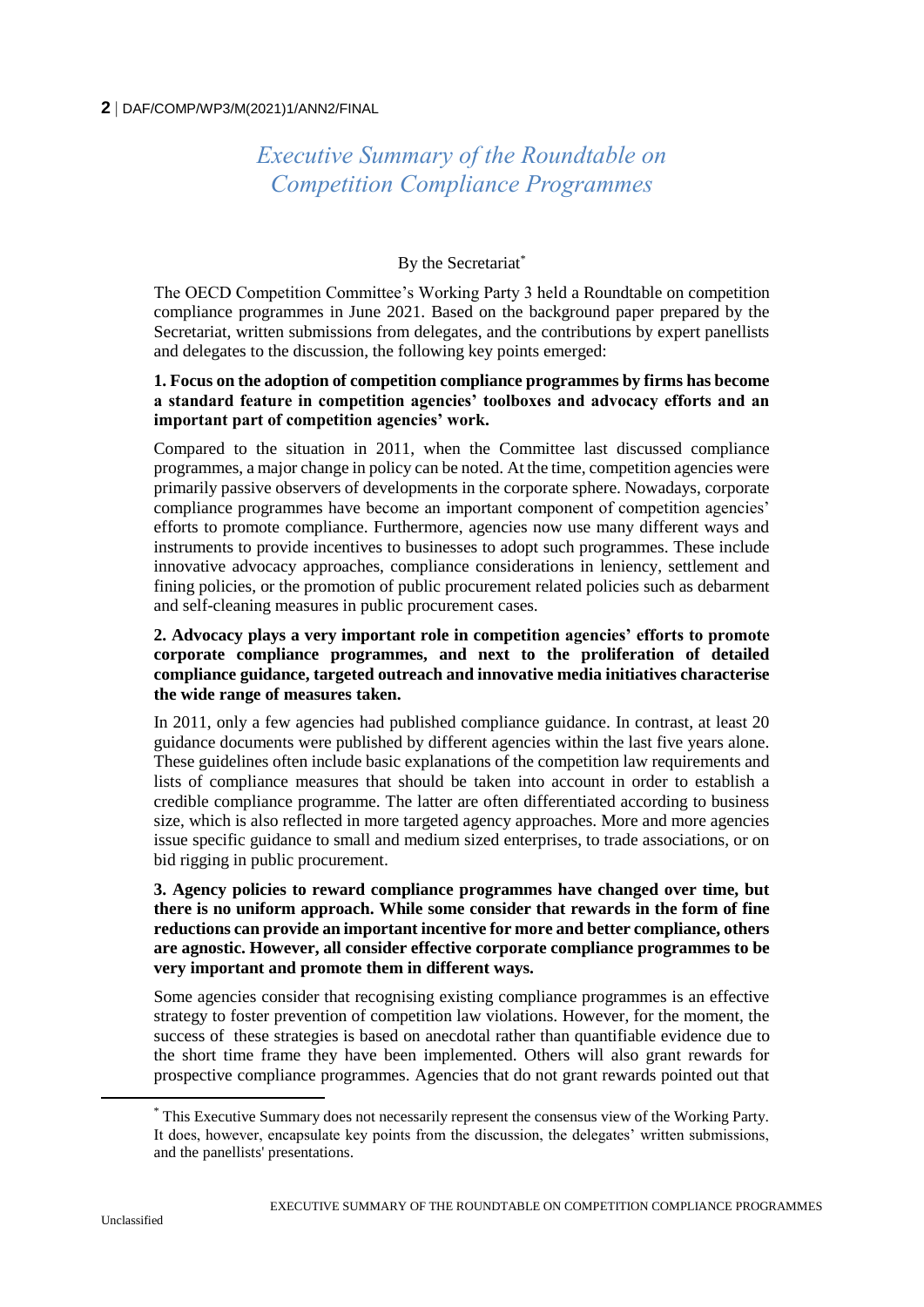#### **2** DAF/COMP/WP3/M(2021)1/ANN2/FINAL

# *Executive Summary of the Roundtable on Competition Compliance Programmes*

## By the Secretariat\*

The OECD Competition Committee's Working Party 3 held a Roundtable on competition compliance programmes in June 2021. Based on the background paper prepared by the Secretariat, written submissions from delegates, and the contributions by expert panellists and delegates to the discussion, the following key points emerged:

#### **1. Focus on the adoption of competition compliance programmes by firms has become a standard feature in competition agencies' toolboxes and advocacy efforts and an important part of competition agencies' work.**

Compared to the situation in 2011, when the Committee last discussed compliance programmes, a major change in policy can be noted. At the time, competition agencies were primarily passive observers of developments in the corporate sphere. Nowadays, corporate compliance programmes have become an important component of competition agencies' efforts to promote compliance. Furthermore, agencies now use many different ways and instruments to provide incentives to businesses to adopt such programmes. These include innovative advocacy approaches, compliance considerations in leniency, settlement and fining policies, or the promotion of public procurement related policies such as debarment and self-cleaning measures in public procurement cases.

#### **2. Advocacy plays a very important role in competition agencies' efforts to promote corporate compliance programmes, and next to the proliferation of detailed compliance guidance, targeted outreach and innovative media initiatives characterise the wide range of measures taken.**

In 2011, only a few agencies had published compliance guidance. In contrast, at least 20 guidance documents were published by different agencies within the last five years alone. These guidelines often include basic explanations of the competition law requirements and lists of compliance measures that should be taken into account in order to establish a credible compliance programme. The latter are often differentiated according to business size, which is also reflected in more targeted agency approaches. More and more agencies issue specific guidance to small and medium sized enterprises, to trade associations, or on bid rigging in public procurement.

#### **3. Agency policies to reward compliance programmes have changed over time, but there is no uniform approach. While some consider that rewards in the form of fine reductions can provide an important incentive for more and better compliance, others are agnostic. However, all consider effective corporate compliance programmes to be very important and promote them in different ways.**

Some agencies consider that recognising existing compliance programmes is an effective strategy to foster prevention of competition law violations. However, for the moment, the success of these strategies is based on anecdotal rather than quantifiable evidence due to the short time frame they have been implemented. Others will also grant rewards for prospective compliance programmes. Agencies that do not grant rewards pointed out that

 $\overline{a}$ 

<sup>\*</sup> This Executive Summary does not necessarily represent the consensus view of the Working Party. It does, however, encapsulate key points from the discussion, the delegates' written submissions, and the panellists' presentations.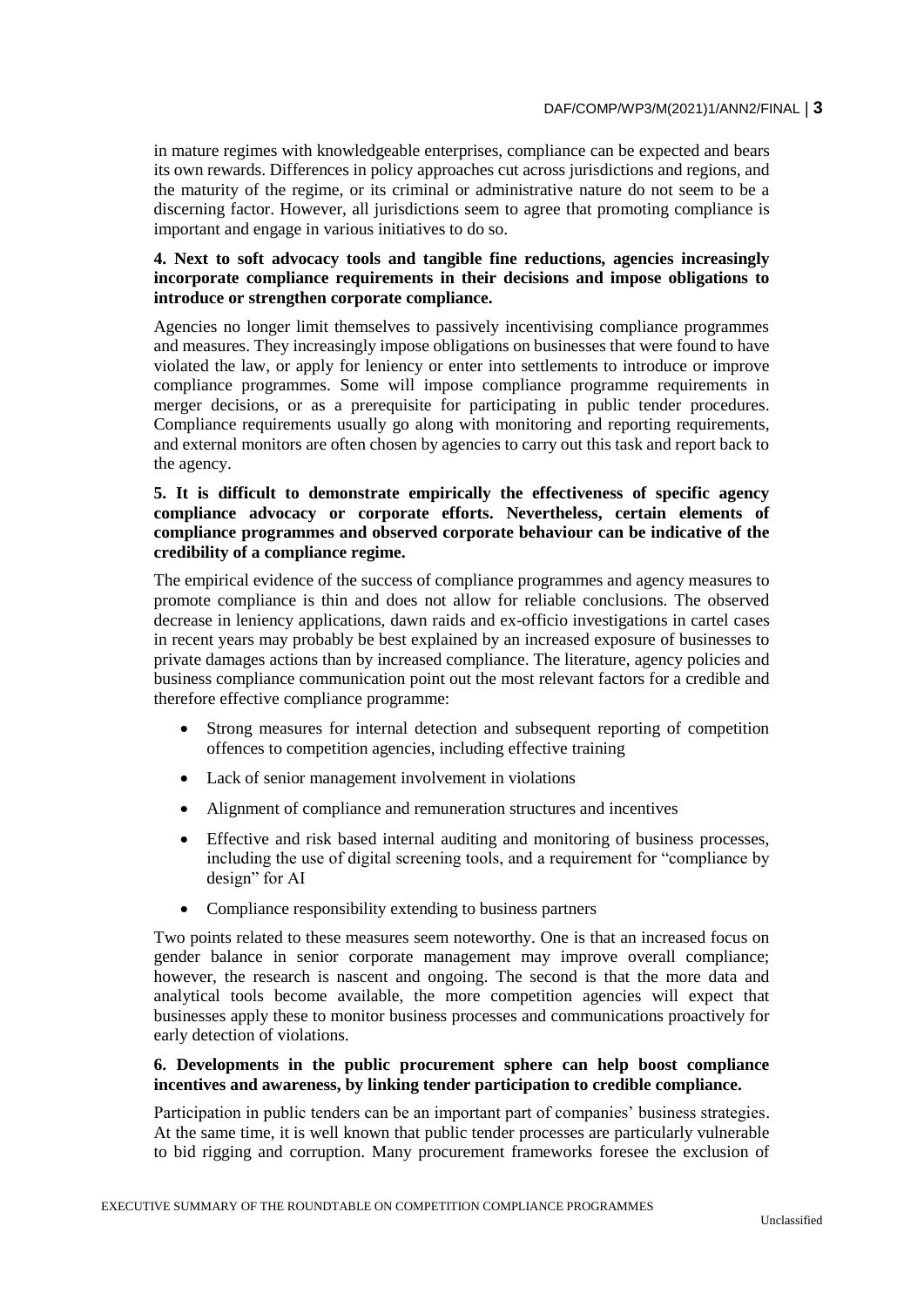in mature regimes with knowledgeable enterprises, compliance can be expected and bears its own rewards. Differences in policy approaches cut across jurisdictions and regions, and the maturity of the regime, or its criminal or administrative nature do not seem to be a discerning factor. However, all jurisdictions seem to agree that promoting compliance is important and engage in various initiatives to do so.

#### **4. Next to soft advocacy tools and tangible fine reductions, agencies increasingly incorporate compliance requirements in their decisions and impose obligations to introduce or strengthen corporate compliance.**

Agencies no longer limit themselves to passively incentivising compliance programmes and measures. They increasingly impose obligations on businesses that were found to have violated the law, or apply for leniency or enter into settlements to introduce or improve compliance programmes. Some will impose compliance programme requirements in merger decisions, or as a prerequisite for participating in public tender procedures. Compliance requirements usually go along with monitoring and reporting requirements, and external monitors are often chosen by agencies to carry out this task and report back to the agency.

#### **5. It is difficult to demonstrate empirically the effectiveness of specific agency compliance advocacy or corporate efforts. Nevertheless, certain elements of compliance programmes and observed corporate behaviour can be indicative of the credibility of a compliance regime.**

The empirical evidence of the success of compliance programmes and agency measures to promote compliance is thin and does not allow for reliable conclusions. The observed decrease in leniency applications, dawn raids and ex-officio investigations in cartel cases in recent years may probably be best explained by an increased exposure of businesses to private damages actions than by increased compliance. The literature, agency policies and business compliance communication point out the most relevant factors for a credible and therefore effective compliance programme:

- Strong measures for internal detection and subsequent reporting of competition offences to competition agencies, including effective training
- Lack of senior management involvement in violations
- Alignment of compliance and remuneration structures and incentives
- Effective and risk based internal auditing and monitoring of business processes, including the use of digital screening tools, and a requirement for "compliance by design" for AI
- Compliance responsibility extending to business partners

Two points related to these measures seem noteworthy. One is that an increased focus on gender balance in senior corporate management may improve overall compliance; however, the research is nascent and ongoing. The second is that the more data and analytical tools become available, the more competition agencies will expect that businesses apply these to monitor business processes and communications proactively for early detection of violations.

### **6. Developments in the public procurement sphere can help boost compliance incentives and awareness, by linking tender participation to credible compliance.**

Participation in public tenders can be an important part of companies' business strategies. At the same time, it is well known that public tender processes are particularly vulnerable to bid rigging and corruption. Many procurement frameworks foresee the exclusion of